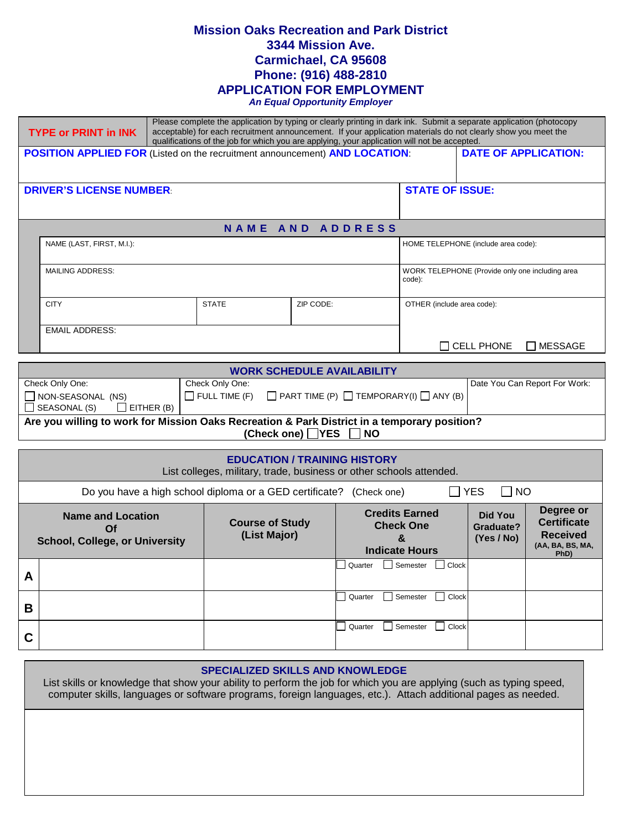# **Mission Oaks Recreation and Park District 3344 Mission Ave. Carmichael, CA 95608 Phone: (916) 488-2810 APPLICATION FOR EMPLOYMENT**

*An Equal Opportunity Employer*

| Please complete the application by typing or clearly printing in dark ink. Submit a separate application (photocopy<br>acceptable) for each recruitment announcement. If your application materials do not clearly show you meet the<br><b>TYPE or PRINT in INK</b><br>qualifications of the job for which you are applying, your application will not be accepted. |                                                                                                                                |  |                  |           |                                                                                |                                     |                             |  |
|---------------------------------------------------------------------------------------------------------------------------------------------------------------------------------------------------------------------------------------------------------------------------------------------------------------------------------------------------------------------|--------------------------------------------------------------------------------------------------------------------------------|--|------------------|-----------|--------------------------------------------------------------------------------|-------------------------------------|-----------------------------|--|
|                                                                                                                                                                                                                                                                                                                                                                     | <b>POSITION APPLIED FOR (Listed on the recruitment announcement) AND LOCATION:</b>                                             |  |                  |           |                                                                                |                                     | <b>DATE OF APPLICATION:</b> |  |
|                                                                                                                                                                                                                                                                                                                                                                     | <b>STATE OF ISSUE:</b><br><b>DRIVER'S LICENSE NUMBER:</b>                                                                      |  |                  |           |                                                                                |                                     |                             |  |
|                                                                                                                                                                                                                                                                                                                                                                     |                                                                                                                                |  |                  |           |                                                                                |                                     |                             |  |
|                                                                                                                                                                                                                                                                                                                                                                     |                                                                                                                                |  | NAME AND ADDRESS |           |                                                                                |                                     |                             |  |
|                                                                                                                                                                                                                                                                                                                                                                     | NAME (LAST, FIRST, M.I.):                                                                                                      |  |                  |           |                                                                                | HOME TELEPHONE (include area code): |                             |  |
|                                                                                                                                                                                                                                                                                                                                                                     | <b>MAILING ADDRESS:</b>                                                                                                        |  |                  |           | WORK TELEPHONE (Provide only one including area<br>code):                      |                                     |                             |  |
| <b>CITY</b>                                                                                                                                                                                                                                                                                                                                                         |                                                                                                                                |  | <b>STATE</b>     | ZIP CODE: |                                                                                | OTHER (include area code):          |                             |  |
|                                                                                                                                                                                                                                                                                                                                                                     | <b>EMAIL ADDRESS:</b>                                                                                                          |  |                  |           |                                                                                | $\sqcap$ cell phone                 | $\Box$ MESSAGE              |  |
|                                                                                                                                                                                                                                                                                                                                                                     | <b>WORK SCHEDULE AVAILABILITY</b>                                                                                              |  |                  |           |                                                                                |                                     |                             |  |
| Check Only One:<br>Check Only One:<br>Date You Can Report For Work:<br>$\Box$ FULL TIME (F)<br>$\Box$ PART TIME (P) $\Box$ TEMPORARY(I) $\Box$ ANY (B)<br>NON-SEASONAL (NS)<br>$\Box$ SEASONAL (S)<br>$\Box$ EITHER (B)                                                                                                                                             |                                                                                                                                |  |                  |           |                                                                                |                                     |                             |  |
|                                                                                                                                                                                                                                                                                                                                                                     | Are you willing to work for Mission Oaks Recreation & Park District in a temporary position?<br>(Check one) ■ YES<br><b>NO</b> |  |                  |           |                                                                                |                                     |                             |  |
|                                                                                                                                                                                                                                                                                                                                                                     | <b>EDUCATION / TRAINING HISTORY</b><br>List colleges, military, trade, business or other schools attended.                     |  |                  |           |                                                                                |                                     |                             |  |
|                                                                                                                                                                                                                                                                                                                                                                     | Do you have a high school diploma or a GED certificate? (Check one)<br>$\neg$ YES<br>I INO                                     |  |                  |           |                                                                                |                                     |                             |  |
| <b>Credits Earned</b><br>Did You<br><b>Name and Location</b><br><b>Course of Study</b><br><b>Check One</b><br>Graduate?<br>$\Omega$ f<br>(List Major)<br>(Yes / No)<br>&<br><b>School, College, or University</b><br><b>Indicate Hours</b>                                                                                                                          |                                                                                                                                |  |                  |           | Degree or<br><b>Certificate</b><br><b>Received</b><br>(AA, BA, BS, MA,<br>PhD) |                                     |                             |  |
| A                                                                                                                                                                                                                                                                                                                                                                   |                                                                                                                                |  |                  |           | Quarter                                                                        | Semester   Clock                    |                             |  |
| в                                                                                                                                                                                                                                                                                                                                                                   |                                                                                                                                |  |                  |           | Quarter                                                                        | Clock<br>Semester                   |                             |  |
| C                                                                                                                                                                                                                                                                                                                                                                   |                                                                                                                                |  |                  |           | Quarter                                                                        | Clock<br>Semester                   |                             |  |

#### **SPECIALIZED SKILLS AND KNOWLEDGE**

List skills or knowledge that show your ability to perform the job for which you are applying (such as typing speed, computer skills, languages or software programs, foreign languages, etc.). Attach additional pages as needed.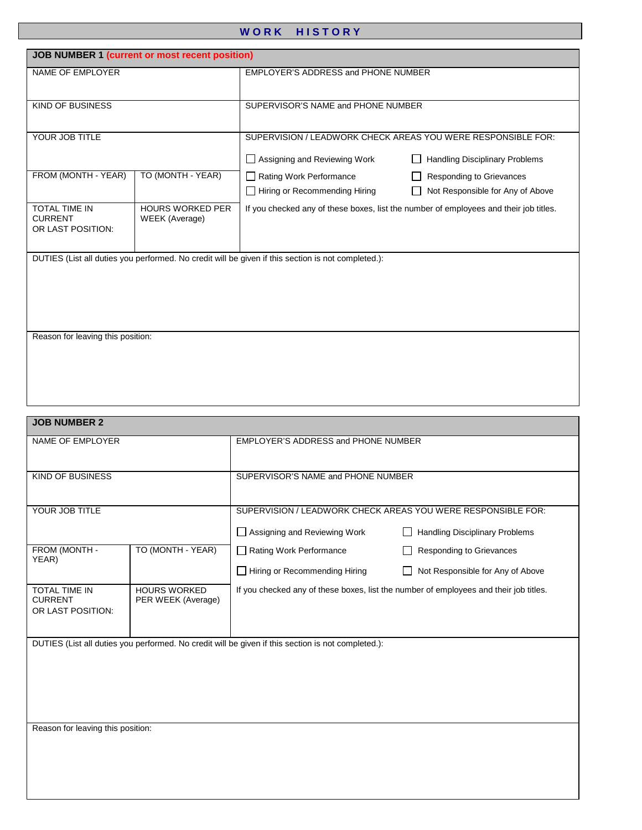## WORK HISTORY

| <b>JOB NUMBER 1 (current or most recent position)</b>             |                   |                                                                                                    |                                       |  |
|-------------------------------------------------------------------|-------------------|----------------------------------------------------------------------------------------------------|---------------------------------------|--|
| NAME OF EMPLOYER                                                  |                   | <b>EMPLOYER'S ADDRESS and PHONE NUMBER</b>                                                         |                                       |  |
|                                                                   |                   |                                                                                                    |                                       |  |
| <b>KIND OF BUSINESS</b>                                           |                   | SUPERVISOR'S NAME and PHONE NUMBER                                                                 |                                       |  |
|                                                                   |                   |                                                                                                    |                                       |  |
| YOUR JOB TITLE                                                    |                   | SUPERVISION / LEADWORK CHECK AREAS YOU WERE RESPONSIBLE FOR:                                       |                                       |  |
|                                                                   |                   | Assigning and Reviewing Work                                                                       | <b>Handling Disciplinary Problems</b> |  |
| FROM (MONTH - YEAR)                                               | TO (MONTH - YEAR) | Rating Work Performance                                                                            | <b>Responding to Grievances</b>       |  |
|                                                                   |                   | Hiring or Recommending Hiring                                                                      | Not Responsible for Any of Above      |  |
| <b>TOTAL TIME IN</b><br><b>HOURS WORKED PER</b><br><b>CURRENT</b> |                   | If you checked any of these boxes, list the number of employees and their job titles.              |                                       |  |
| OR LAST POSITION:                                                 | WEEK (Average)    |                                                                                                    |                                       |  |
|                                                                   |                   |                                                                                                    |                                       |  |
|                                                                   |                   | DUTIES (List all duties you performed. No credit will be given if this section is not completed.): |                                       |  |
|                                                                   |                   |                                                                                                    |                                       |  |
|                                                                   |                   |                                                                                                    |                                       |  |
|                                                                   |                   |                                                                                                    |                                       |  |
| Reason for leaving this position:                                 |                   |                                                                                                    |                                       |  |
|                                                                   |                   |                                                                                                    |                                       |  |
|                                                                   |                   |                                                                                                    |                                       |  |
|                                                                   |                   |                                                                                                    |                                       |  |
|                                                                   |                   |                                                                                                    |                                       |  |

| <b>JOB NUMBER 2</b>                                                                                      |                   |                                                                                              |                                                                     |  |
|----------------------------------------------------------------------------------------------------------|-------------------|----------------------------------------------------------------------------------------------|---------------------------------------------------------------------|--|
| NAME OF EMPLOYER                                                                                         |                   | <b>EMPLOYER'S ADDRESS and PHONE NUMBER</b>                                                   |                                                                     |  |
| KIND OF BUSINESS                                                                                         |                   | SUPERVISOR'S NAME and PHONE NUMBER                                                           |                                                                     |  |
| YOUR JOB TITLE                                                                                           |                   | SUPERVISION / LEADWORK CHECK AREAS YOU WERE RESPONSIBLE FOR:<br>Assigning and Reviewing Work | <b>Handling Disciplinary Problems</b>                               |  |
| FROM (MONTH -<br>YEAR)                                                                                   | TO (MONTH - YEAR) | Rating Work Performance<br>$\Box$ Hiring or Recommending Hiring                              | <b>Responding to Grievances</b><br>Not Responsible for Any of Above |  |
| <b>TOTAL TIME IN</b><br><b>HOURS WORKED</b><br><b>CURRENT</b><br>PER WEEK (Average)<br>OR LAST POSITION: |                   | If you checked any of these boxes, list the number of employees and their job titles.        |                                                                     |  |
| DUTIES (List all duties you performed. No credit will be given if this section is not completed.):       |                   |                                                                                              |                                                                     |  |

Reason for leaving this position: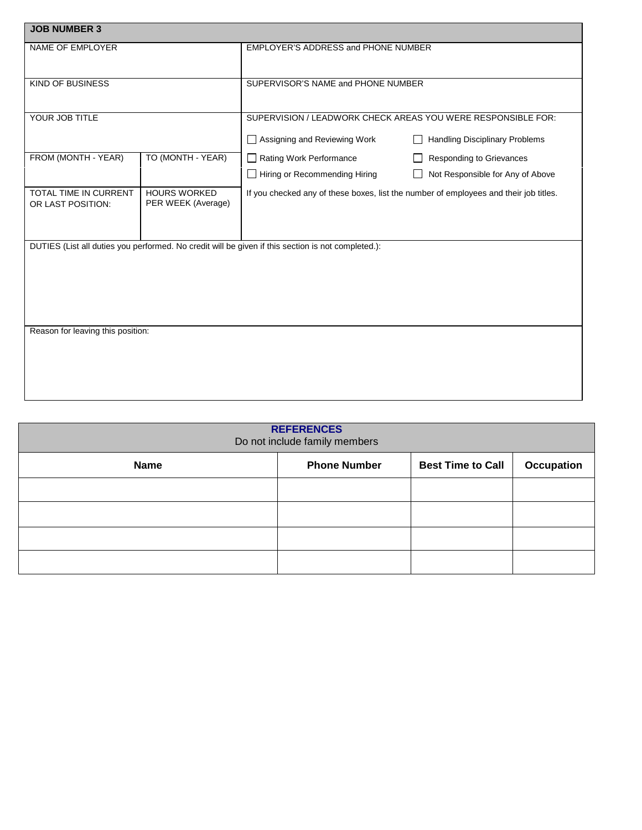| <b>JOB NUMBER 3</b>                        |                                           |                                                                                                    |                                                              |  |
|--------------------------------------------|-------------------------------------------|----------------------------------------------------------------------------------------------------|--------------------------------------------------------------|--|
| NAME OF EMPLOYER                           |                                           | EMPLOYER'S ADDRESS and PHONE NUMBER                                                                |                                                              |  |
| <b>KIND OF BUSINESS</b>                    |                                           | SUPERVISOR'S NAME and PHONE NUMBER                                                                 |                                                              |  |
| YOUR JOB TITLE                             |                                           | SUPERVISION / LEADWORK CHECK AREAS YOU WERE RESPONSIBLE FOR:<br>Assigning and Reviewing Work       | <b>Handling Disciplinary Problems</b>                        |  |
| FROM (MONTH - YEAR)                        | TO (MONTH - YEAR)                         | Rating Work Performance<br>Hiring or Recommending Hiring                                           | Responding to Grievances<br>Not Responsible for Any of Above |  |
| TOTAL TIME IN CURRENT<br>OR LAST POSITION: | <b>HOURS WORKED</b><br>PER WEEK (Average) | If you checked any of these boxes, list the number of employees and their job titles.              |                                                              |  |
|                                            |                                           | DUTIES (List all duties you performed. No credit will be given if this section is not completed.): |                                                              |  |
| Reason for leaving this position:          |                                           |                                                                                                    |                                                              |  |

| <b>REFERENCES</b><br>Do not include family members |                     |                          |            |
|----------------------------------------------------|---------------------|--------------------------|------------|
| <b>Name</b>                                        | <b>Phone Number</b> | <b>Best Time to Call</b> | Occupation |
|                                                    |                     |                          |            |
|                                                    |                     |                          |            |
|                                                    |                     |                          |            |
|                                                    |                     |                          |            |